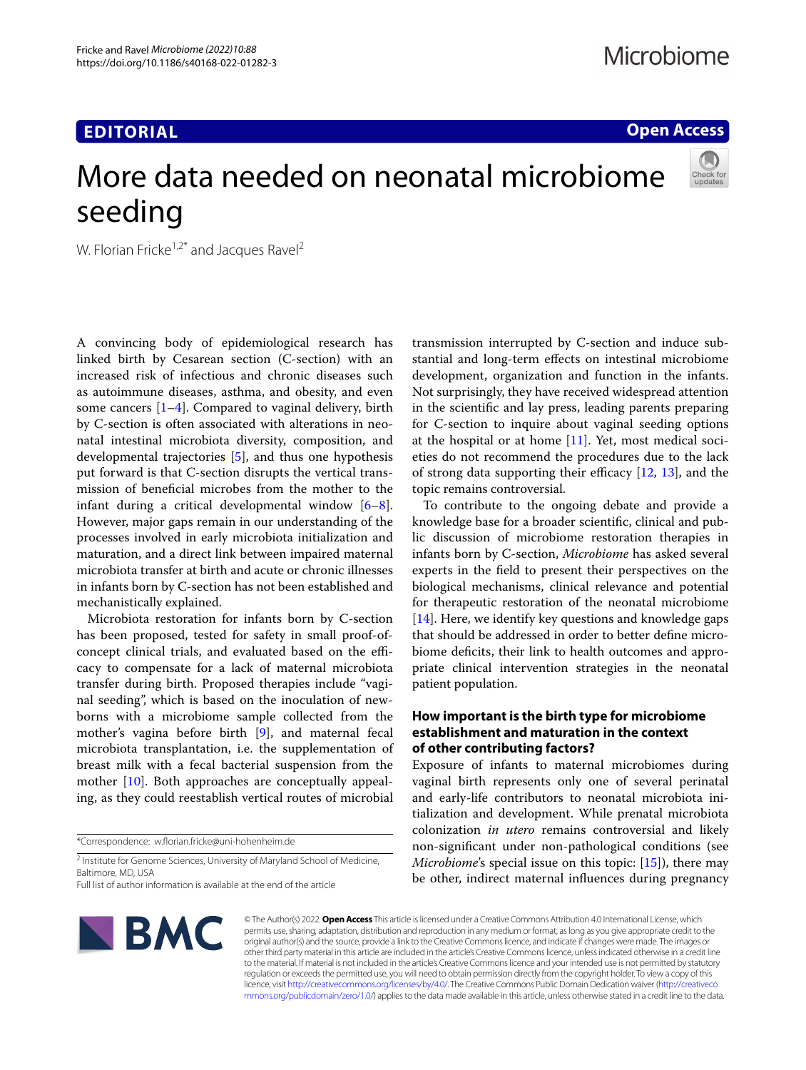# **EDITORIAL**

## **Open Access**

# More data needed on neonatal microbiome seeding



W. Florian Fricke<sup>1,2\*</sup> and Jacques Ravel<sup>2</sup>

A convincing body of epidemiological research has linked birth by Cesarean section (C-section) with an increased risk of infectious and chronic diseases such as autoimmune diseases, asthma, and obesity, and even some cancers  $[1-4]$  $[1-4]$  $[1-4]$ . Compared to vaginal delivery, birth by C-section is often associated with alterations in neonatal intestinal microbiota diversity, composition, and developmental trajectories [[5](#page-2-2)], and thus one hypothesis put forward is that C-section disrupts the vertical transmission of benefcial microbes from the mother to the infant during a critical developmental window [\[6](#page-2-3)[–8](#page-2-4)]. However, major gaps remain in our understanding of the processes involved in early microbiota initialization and maturation, and a direct link between impaired maternal microbiota transfer at birth and acute or chronic illnesses in infants born by C-section has not been established and mechanistically explained.

Microbiota restoration for infants born by C-section has been proposed, tested for safety in small proof-ofconcept clinical trials, and evaluated based on the efficacy to compensate for a lack of maternal microbiota transfer during birth. Proposed therapies include "vaginal seeding", which is based on the inoculation of newborns with a microbiome sample collected from the mother's vagina before birth [[9\]](#page-2-5), and maternal fecal microbiota transplantation, i.e. the supplementation of breast milk with a fecal bacterial suspension from the mother [\[10\]](#page-2-6). Both approaches are conceptually appealing, as they could reestablish vertical routes of microbial

\*Correspondence: w.forian.fricke@uni-hohenheim.de

<sup>2</sup> Institute for Genome Sciences, University of Maryland School of Medicine, Baltimore, MD, USA

Full list of author information is available at the end of the article



transmission interrupted by C-section and induce substantial and long-term efects on intestinal microbiome development, organization and function in the infants. Not surprisingly, they have received widespread attention in the scientifc and lay press, leading parents preparing for C-section to inquire about vaginal seeding options at the hospital or at home  $[11]$  $[11]$  $[11]$ . Yet, most medical societies do not recommend the procedures due to the lack of strong data supporting their efficacy  $[12, 13]$  $[12, 13]$  $[12, 13]$  $[12, 13]$ , and the topic remains controversial.

To contribute to the ongoing debate and provide a knowledge base for a broader scientifc, clinical and public discussion of microbiome restoration therapies in infants born by C-section, *Microbiome* has asked several experts in the feld to present their perspectives on the biological mechanisms, clinical relevance and potential for therapeutic restoration of the neonatal microbiome [[14\]](#page-2-10). Here, we identify key questions and knowledge gaps that should be addressed in order to better defne microbiome defcits, their link to health outcomes and appropriate clinical intervention strategies in the neonatal patient population.

## **How important is the birth type for microbiome establishment and maturation in the context of other contributing factors?**

Exposure of infants to maternal microbiomes during vaginal birth represents only one of several perinatal and early-life contributors to neonatal microbiota initialization and development. While prenatal microbiota colonization *in utero* remains controversial and likely non-signifcant under non-pathological conditions (see *Microbiome's* special issue on this topic: [\[15\]](#page-2-11)), there may be other, indirect maternal infuences during pregnancy

© The Author(s) 2022. **Open Access** This article is licensed under a Creative Commons Attribution 4.0 International License, which permits use, sharing, adaptation, distribution and reproduction in any medium or format, as long as you give appropriate credit to the original author(s) and the source, provide a link to the Creative Commons licence, and indicate if changes were made. The images or other third party material in this article are included in the article's Creative Commons licence, unless indicated otherwise in a credit line to the material. If material is not included in the article's Creative Commons licence and your intended use is not permitted by statutory regulation or exceeds the permitted use, you will need to obtain permission directly from the copyright holder. To view a copy of this licence, visit [http://creativecommons.org/licenses/by/4.0/.](http://creativecommons.org/licenses/by/4.0/) The Creative Commons Public Domain Dedication waiver ([http://creativeco](http://creativecommons.org/publicdomain/zero/1.0/) [mmons.org/publicdomain/zero/1.0/](http://creativecommons.org/publicdomain/zero/1.0/)) applies to the data made available in this article, unless otherwise stated in a credit line to the data.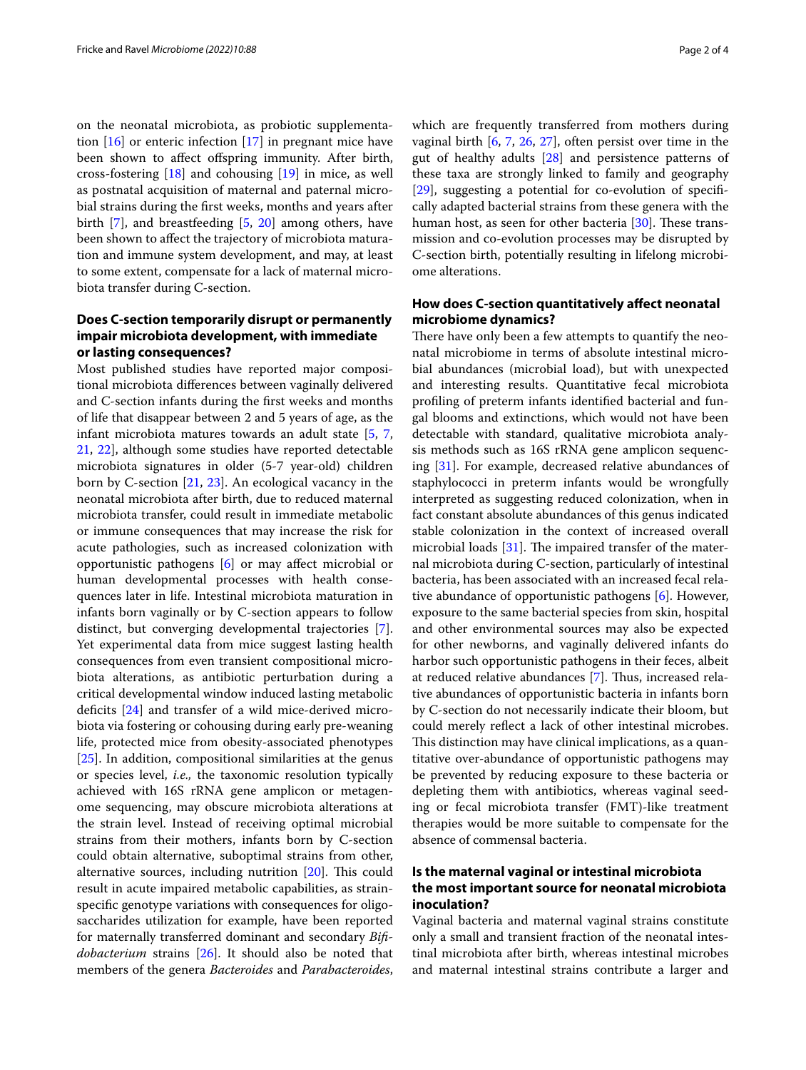on the neonatal microbiota, as probiotic supplementation  $[16]$  $[16]$  or enteric infection  $[17]$  $[17]$  in pregnant mice have been shown to afect ofspring immunity. After birth, cross-fostering [\[18](#page-2-14)] and cohousing [\[19](#page-2-15)] in mice, as well as postnatal acquisition of maternal and paternal microbial strains during the frst weeks, months and years after birth [\[7\]](#page-2-16), and breastfeeding [[5,](#page-2-2) [20\]](#page-2-17) among others, have been shown to afect the trajectory of microbiota maturation and immune system development, and may, at least to some extent, compensate for a lack of maternal microbiota transfer during C-section.

## **Does C‑section temporarily disrupt or permanently impair microbiota development, with immediate or lasting consequences?**

Most published studies have reported major compositional microbiota diferences between vaginally delivered and C-section infants during the frst weeks and months of life that disappear between 2 and 5 years of age, as the infant microbiota matures towards an adult state [\[5](#page-2-2), [7](#page-2-16), [21,](#page-2-18) [22\]](#page-2-19), although some studies have reported detectable microbiota signatures in older (5-7 year-old) children born by C-section [\[21,](#page-2-18) [23\]](#page-2-20). An ecological vacancy in the neonatal microbiota after birth, due to reduced maternal microbiota transfer, could result in immediate metabolic or immune consequences that may increase the risk for acute pathologies, such as increased colonization with opportunistic pathogens [[6\]](#page-2-3) or may afect microbial or human developmental processes with health consequences later in life. Intestinal microbiota maturation in infants born vaginally or by C-section appears to follow distinct, but converging developmental trajectories [\[7](#page-2-16)]. Yet experimental data from mice suggest lasting health consequences from even transient compositional microbiota alterations, as antibiotic perturbation during a critical developmental window induced lasting metabolic deficits [[24\]](#page-2-21) and transfer of a wild mice-derived microbiota via fostering or cohousing during early pre-weaning life, protected mice from obesity-associated phenotypes [[25\]](#page-2-22). In addition, compositional similarities at the genus or species level, *i.e.,* the taxonomic resolution typically achieved with 16S rRNA gene amplicon or metagenome sequencing, may obscure microbiota alterations at the strain level. Instead of receiving optimal microbial strains from their mothers, infants born by C-section could obtain alternative, suboptimal strains from other, alternative sources, including nutrition  $[20]$  $[20]$ . This could result in acute impaired metabolic capabilities, as strainspecifc genotype variations with consequences for oligosaccharides utilization for example, have been reported for maternally transferred dominant and secondary *Bifdobacterium* strains [[26\]](#page-2-23). It should also be noted that members of the genera *Bacteroides* and *Parabacteroides*, which are frequently transferred from mothers during vaginal birth [\[6](#page-2-3), [7](#page-2-16), [26,](#page-2-23) [27\]](#page-3-0), often persist over time in the gut of healthy adults [\[28](#page-3-1)] and persistence patterns of these taxa are strongly linked to family and geography [[29\]](#page-3-2), suggesting a potential for co-evolution of specifcally adapted bacterial strains from these genera with the human host, as seen for other bacteria  $[30]$  $[30]$  $[30]$ . These transmission and co-evolution processes may be disrupted by C-section birth, potentially resulting in lifelong microbiome alterations.

## **How does C‑section quantitatively afect neonatal microbiome dynamics?**

There have only been a few attempts to quantify the neonatal microbiome in terms of absolute intestinal microbial abundances (microbial load), but with unexpected and interesting results. Quantitative fecal microbiota profling of preterm infants identifed bacterial and fungal blooms and extinctions, which would not have been detectable with standard, qualitative microbiota analysis methods such as 16S rRNA gene amplicon sequencing [\[31](#page-3-4)]. For example, decreased relative abundances of staphylococci in preterm infants would be wrongfully interpreted as suggesting reduced colonization, when in fact constant absolute abundances of this genus indicated stable colonization in the context of increased overall microbial loads  $[31]$  $[31]$ . The impaired transfer of the maternal microbiota during C-section, particularly of intestinal bacteria, has been associated with an increased fecal relative abundance of opportunistic pathogens [[6\]](#page-2-3). However, exposure to the same bacterial species from skin, hospital and other environmental sources may also be expected for other newborns, and vaginally delivered infants do harbor such opportunistic pathogens in their feces, albeit at reduced relative abundances [[7\]](#page-2-16). Thus, increased relative abundances of opportunistic bacteria in infants born by C-section do not necessarily indicate their bloom, but could merely refect a lack of other intestinal microbes. This distinction may have clinical implications, as a quantitative over-abundance of opportunistic pathogens may be prevented by reducing exposure to these bacteria or depleting them with antibiotics, whereas vaginal seeding or fecal microbiota transfer (FMT)-like treatment therapies would be more suitable to compensate for the absence of commensal bacteria.

## **Is the maternal vaginal or intestinal microbiota the most important source for neonatal microbiota inoculation?**

Vaginal bacteria and maternal vaginal strains constitute only a small and transient fraction of the neonatal intestinal microbiota after birth, whereas intestinal microbes and maternal intestinal strains contribute a larger and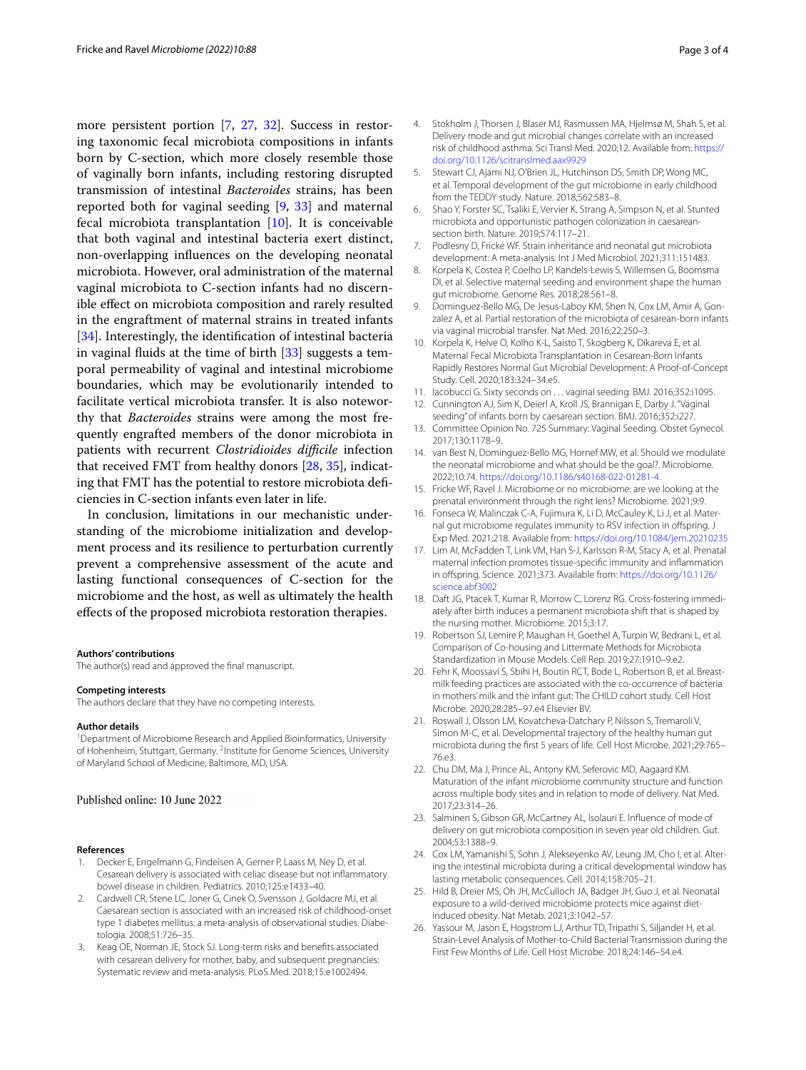more persistent portion [\[7](#page-2-16), [27,](#page-3-0) [32\]](#page-3-5). Success in restoring taxonomic fecal microbiota compositions in infants born by C-section, which more closely resemble those of vaginally born infants, including restoring disrupted transmission of intestinal *Bacteroides* strains, has been reported both for vaginal seeding [[9](#page-2-5), [33\]](#page-3-6) and maternal fecal microbiota transplantation  $[10]$  $[10]$  $[10]$ . It is conceivable that both vaginal and intestinal bacteria exert distinct, non-overlapping infuences on the developing neonatal microbiota. However, oral administration of the maternal vaginal microbiota to C-section infants had no discernible efect on microbiota composition and rarely resulted in the engraftment of maternal strains in treated infants [[34\]](#page-3-7). Interestingly, the identification of intestinal bacteria in vaginal fuids at the time of birth [[33\]](#page-3-6) suggests a temporal permeability of vaginal and intestinal microbiome boundaries, which may be evolutionarily intended to facilitate vertical microbiota transfer. It is also noteworthy that *Bacteroides* strains were among the most frequently engrafted members of the donor microbiota in patients with recurrent *Clostridioides difficile* infection that received FMT from healthy donors [\[28](#page-3-1), [35\]](#page-3-8), indicating that FMT has the potential to restore microbiota defciencies in C-section infants even later in life.

In conclusion, limitations in our mechanistic understanding of the microbiome initialization and development process and its resilience to perturbation currently prevent a comprehensive assessment of the acute and lasting functional consequences of C-section for the microbiome and the host, as well as ultimately the health efects of the proposed microbiota restoration therapies.

#### **Authors' contributions**

The author(s) read and approved the fnal manuscript.

#### **Competing interests**

The authors declare that they have no competing interests.

#### **Author details**

<sup>1</sup> Department of Microbiome Research and Applied Bioinformatics, University of Hohenheim, Stuttgart, Germany. <sup>2</sup>Institute for Genome Sciences, University of Maryland School of Medicine, Baltimore, MD, USA.

## Published online: 10 June 2022

#### **References**

- <span id="page-2-0"></span>Decker E, Engelmann G, Findeisen A, Gerner P, Laass M, Ney D, et al. Cesarean delivery is associated with celiac disease but not infammatory bowel disease in children. Pediatrics. 2010;125:e1433–40.
- Cardwell CR, Stene LC, Joner G, Cinek O, Svensson J, Goldacre MJ, et al. Caesarean section is associated with an increased risk of childhood-onset type 1 diabetes mellitus: a meta-analysis of observational studies. Diabetologia. 2008;51:726–35.
- 3. Keag OE, Norman JE, Stock SJ. Long-term risks and benefts associated with cesarean delivery for mother, baby, and subsequent pregnancies: Systematic review and meta-analysis. PLoS Med. 2018;15:e1002494.
- <span id="page-2-1"></span>4. Stokholm J, Thorsen J, Blaser MJ, Rasmussen MA, Hjelmsø M, Shah S, et al. Delivery mode and gut microbial changes correlate with an increased risk of childhood asthma. Sci Transl Med. 2020;12. Available from: [https://](https://doi.org/10.1126/scitranslmed.aax9929) [doi.org/10.1126/scitranslmed.aax9929](https://doi.org/10.1126/scitranslmed.aax9929)
- <span id="page-2-2"></span>5. Stewart CJ, Ajami NJ, O'Brien JL, Hutchinson DS, Smith DP, Wong MC, et al. Temporal development of the gut microbiome in early childhood from the TEDDY study. Nature. 2018;562:583–8.
- <span id="page-2-3"></span>6. Shao Y, Forster SC, Tsaliki E, Vervier K, Strang A, Simpson N, et al. Stunted microbiota and opportunistic pathogen colonization in caesareansection birth. Nature. 2019;574:117–21.
- <span id="page-2-16"></span>7. Podlesny D, Fricke WF. Strain inheritance and neonatal gut microbiota development: A meta-analysis. Int J Med Microbiol. 2021;311:151483.
- <span id="page-2-4"></span>8. Korpela K, Costea P, Coelho LP, Kandels-Lewis S, Willemsen G, Boomsma DI, et al. Selective maternal seeding and environment shape the human gut microbiome. Genome Res. 2018;28:561–8.
- <span id="page-2-5"></span>9. Dominguez-Bello MG, De Jesus-Laboy KM, Shen N, Cox LM, Amir A, Gonzalez A, et al. Partial restoration of the microbiota of cesarean-born infants via vaginal microbial transfer. Nat Med. 2016;22:250–3.
- <span id="page-2-6"></span>10. Korpela K, Helve O, Kolho K-L, Saisto T, Skogberg K, Dikareva E, et al. Maternal Fecal Microbiota Transplantation in Cesarean-Born Infants Rapidly Restores Normal Gut Microbial Development: A Proof-of-Concept Study. Cell. 2020;183:324–34.e5.
- <span id="page-2-7"></span>11. Iacobucci G. Sixty seconds on . . . vaginal seeding. BMJ. 2016;352:i1095.
- <span id="page-2-8"></span>12. Cunnington AJ, Sim K, Deierl A, Kroll JS, Brannigan E, Darby J. "Vaginal seeding" of infants born by caesarean section. BMJ. 2016;352:i227.
- <span id="page-2-9"></span>13. Committee Opinion No. 725 Summary: Vaginal Seeding. Obstet Gynecol. 2017;130:1178–9.
- <span id="page-2-10"></span>14. van Best N, Dominguez-Bello MG, Hornef MW, et al. Should we modulate the neonatal microbiome and what should be the goal?. Microbiome. 2022;10:74. <https://doi.org/10.1186/s40168-022-01281-4>.
- <span id="page-2-11"></span>15. Fricke WF, Ravel J. Microbiome or no microbiome: are we looking at the prenatal environment through the right lens? Microbiome. 2021;9:9.
- <span id="page-2-12"></span>16. Fonseca W, Malinczak C-A, Fujimura K, Li D, McCauley K, Li J, et al. Maternal gut microbiome regulates immunity to RSV infection in offspring. J Exp Med. 2021;218. Available from:<https://doi.org/10.1084/jem.20210235>
- <span id="page-2-13"></span>17. Lim AI, McFadden T, Link VM, Han S-J, Karlsson R-M, Stacy A, et al. Prenatal maternal infection promotes tissue-specifc immunity and infammation in ofspring. Science. 2021;373. Available from: [https://doi.org/10.1126/](https://doi.org/10.1126/science.abf3002) [science.abf3002](https://doi.org/10.1126/science.abf3002)
- <span id="page-2-14"></span>18. Daft JG, Ptacek T, Kumar R, Morrow C, Lorenz RG. Cross-fostering immediately after birth induces a permanent microbiota shift that is shaped by the nursing mother. Microbiome. 2015;3:17.
- <span id="page-2-15"></span>19. Robertson SJ, Lemire P, Maughan H, Goethel A, Turpin W, Bedrani L, et al. Comparison of Co-housing and Littermate Methods for Microbiota Standardization in Mouse Models. Cell Rep. 2019;27:1910–9.e2.
- <span id="page-2-17"></span>20. Fehr K, Moossavi S, Sbihi H, Boutin RCT, Bode L, Robertson B, et al. Breastmilk feeding practices are associated with the co-occurrence of bacteria in mothers' milk and the infant gut: The CHILD cohort study. Cell Host Microbe. 2020;28:285–97.e4 Elsevier BV.
- <span id="page-2-18"></span>21. Roswall J, Olsson LM, Kovatcheva-Datchary P, Nilsson S, Tremaroli V, Simon M-C, et al. Developmental trajectory of the healthy human gut microbiota during the frst 5 years of life. Cell Host Microbe. 2021;29:765– 76.e3.
- <span id="page-2-19"></span>22. Chu DM, Ma J, Prince AL, Antony KM, Seferovic MD, Aagaard KM. Maturation of the infant microbiome community structure and function across multiple body sites and in relation to mode of delivery. Nat Med. 2017;23:314–26.
- <span id="page-2-20"></span>23. Salminen S, Gibson GR, McCartney AL, Isolauri E. Infuence of mode of delivery on gut microbiota composition in seven year old children. Gut. 2004;53:1388–9.
- <span id="page-2-21"></span>24. Cox LM, Yamanishi S, Sohn J, Alekseyenko AV, Leung JM, Cho I, et al. Altering the intestinal microbiota during a critical developmental window has lasting metabolic consequences. Cell. 2014;158:705–21.
- <span id="page-2-22"></span>25. Hild B, Dreier MS, Oh JH, McCulloch JA, Badger JH, Guo J, et al. Neonatal exposure to a wild-derived microbiome protects mice against dietinduced obesity. Nat Metab. 2021;3:1042–57.
- <span id="page-2-23"></span>26. Yassour M, Jason E, Hogstrom LJ, Arthur TD, Tripathi S, Siljander H, et al. Strain-Level Analysis of Mother-to-Child Bacterial Transmission during the First Few Months of Life. Cell Host Microbe. 2018;24:146–54.e4.